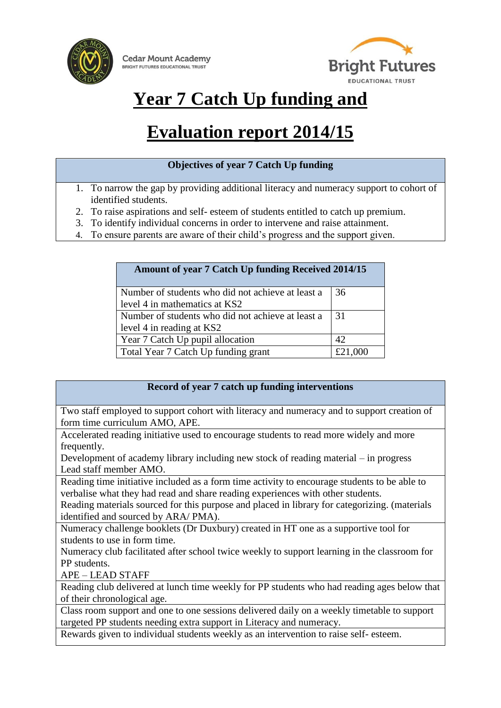



# **Year 7 Catch Up funding and**

# **Evaluation report 2014/15**

- 1. To narrow the gap by providing additional literacy and numeracy support to cohort of identified students.
- 2. To raise aspirations and self- esteem of students entitled to catch up premium.
- 3. To identify individual concerns in order to intervene and raise attainment.
- 4. To ensure parents are aware of their child's progress and the support given.

| <b>Amount of year 7 Catch Up funding Received 2014/15</b> |     |
|-----------------------------------------------------------|-----|
| Number of students who did not achieve at least a         | 36  |
| level 4 in mathematics at KS2                             |     |
| Number of students who did not achieve at least a         | -31 |
| level 4 in reading at KS2                                 |     |
| Year 7 Catch Up pupil allocation                          | 42  |
| Total Year 7 Catch Up funding grant                       |     |

### **Record of year 7 catch up funding interventions**

Two staff employed to support cohort with literacy and numeracy and to support creation of form time curriculum AMO, APE.

Accelerated reading initiative used to encourage students to read more widely and more frequently.

Development of academy library including new stock of reading material – in progress Lead staff member AMO.

Reading time initiative included as a form time activity to encourage students to be able to verbalise what they had read and share reading experiences with other students.

Reading materials sourced for this purpose and placed in library for categorizing. (materials identified and sourced by ARA/ PMA).

Numeracy challenge booklets (Dr Duxbury) created in HT one as a supportive tool for students to use in form time.

Numeracy club facilitated after school twice weekly to support learning in the classroom for PP students.

APE – LEAD STAFF

Reading club delivered at lunch time weekly for PP students who had reading ages below that of their chronological age.

Class room support and one to one sessions delivered daily on a weekly timetable to support targeted PP students needing extra support in Literacy and numeracy.

Rewards given to individual students weekly as an intervention to raise self- esteem.